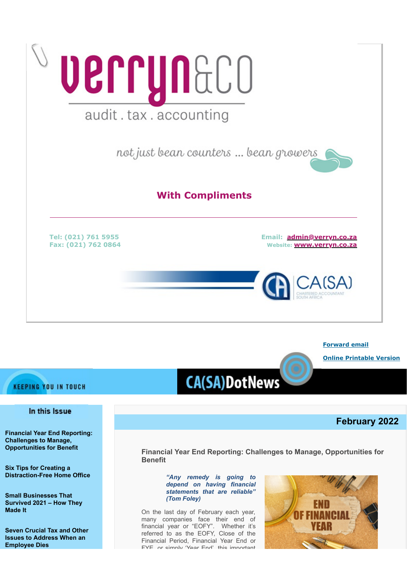

**[Forward email](http://www.dotnews.co.za/Code/Forward.aspx?qry=yKPR5eDKNlaukY9Ps7iCg7e7CqYaOIcY1WZs2b3CHGKvSE7FxOffYUlJUnCPStFVDS9K592LYBpM2QxFOzn2ZZAJu40FtEu3CDX9sjyg0om7xkfInQt-1Opm9CMNechEAnieQLQYoU1e7Ys9JixFEJR5QaDMBHg-FTvOKrRAjKQ=-NOPAD)**

**[Online Printable Version](http://www.dotnews.co.za/Code/print.aspx?qry=yKPR5eDKNlaukY9Ps7iCg7e7CqYaOIcY1WZs2b3CHGKvSE7FxOffYUlJUnCPStFVDS9K592LYBpM2QxFOzn2ZZAJu40FtEu3CDX9sjyg0olAtN4ZHIMvMXJ9l_TnwwzT-NOPAD)**

# **KEEPING YOU IN TOUCH**

# In this Issue

**[Financial Year End Reporting:](#page-0-0) [Challenges to Manage,](#page-0-0) [Opportunities for Benefit](#page-0-0)** 

**[Six Tips for Creating a](#page-2-0) [Distraction-Free Home Office](#page-2-0)**

**[Small Businesses That](#page-4-0) [Survived 2021 – How They](#page-4-0) [Made It](#page-4-0)**

**[Seven Crucial Tax and Other](#page-5-0) [Issues to Address When an](#page-5-0) [Employee Dies](#page-5-0)** 

# **CA(SA)DotNews**

# **February 2022**

<span id="page-0-0"></span>**Financial Year End Reporting: Challenges to Manage, Opportunities for Benefit** 

*"Any remedy is going to depend on having financial statements that are reliable" (Tom Foley)*

On the last day of February each year, many companies face their end of financial year or "EOFY". Whether it's referred to as the EOFY, Close of the Financial Period, Financial Year End or FYE or simply 'Year End' this important

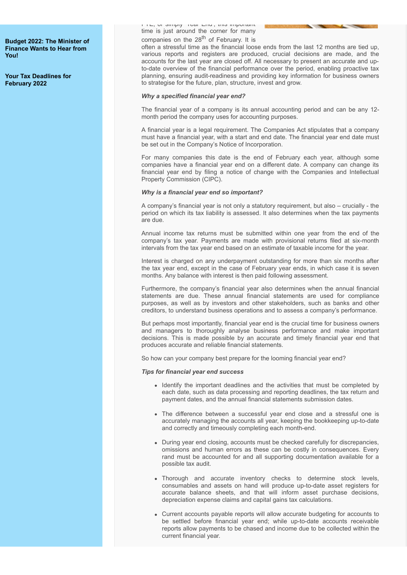**[Budget 2022: The Minister of](#page-7-0) [Finance Wants to Hear from](#page-7-0) [You!](#page-7-0)**

**[Your Tax Deadlines for](#page-8-0) [February 2022](#page-8-0)**

FYE, or simply Year End , this important time is just around the corner for many companies on the 28<sup>th</sup> of February. It is

often a stressful time as the financial loose ends from the last 12 months are tied up, various reports and registers are produced, crucial decisions are made, and the accounts for the last year are closed off. All necessary to present an accurate and upto-date overview of the financial performance over the period, enabling proactive tax planning, ensuring audit-readiness and providing key information for business owners to strategise for the future, plan, structure, invest and grow.

#### *Why a specified financial year end?*

The financial year of a company is its annual accounting period and can be any 12 month period the company uses for accounting purposes.

A financial year is a legal requirement. The Companies Act stipulates that a company must have a financial year, with a start and end date. The financial year end date must be set out in the Company's Notice of Incorporation.

For many companies this date is the end of February each year, although some companies have a financial year end on a different date. A company can change its financial year end by filing a notice of change with the Companies and Intellectual Property Commission (CIPC).

#### *Why is a financial year end so important?*

A company's financial year is not only a statutory requirement, but also – crucially - the period on which its tax liability is assessed. It also determines when the tax payments are due.

Annual income tax returns must be submitted within one year from the end of the company's tax year. Payments are made with provisional returns filed at six-month intervals from the tax year end based on an estimate of taxable income for the year.

Interest is charged on any underpayment outstanding for more than six months after the tax year end, except in the case of February year ends, in which case it is seven months. Any balance with interest is then paid following assessment.

Furthermore, the company's financial year also determines when the annual financial statements are due. These annual financial statements are used for compliance purposes, as well as by investors and other stakeholders, such as banks and other creditors, to understand business operations and to assess a company's performance.

But perhaps most importantly, financial year end is the crucial time for business owners and managers to thoroughly analyse business performance and make important decisions. This is made possible by an accurate and timely financial year end that produces accurate and reliable financial statements.

So how can your company best prepare for the looming financial year end?

#### *Tips for financial year end success*

- Identify the important deadlines and the activities that must be completed by each date, such as data processing and reporting deadlines, the tax return and payment dates, and the annual financial statements submission dates.
- The difference between a successful year end close and a stressful one is accurately managing the accounts all year, keeping the bookkeeping up-to-date and correctly and timeously completing each month-end.
- During year end closing, accounts must be checked carefully for discrepancies, omissions and human errors as these can be costly in consequences. Every rand must be accounted for and all supporting documentation available for a possible tax audit.
- Thorough and accurate inventory checks to determine stock levels, consumables and assets on hand will produce up-to-date asset registers for accurate balance sheets, and that will inform asset purchase decisions, depreciation expense claims and capital gains tax calculations.
- Current accounts payable reports will allow accurate budgeting for accounts to be settled before financial year end; while up-to-date accounts receivable reports allow payments to be chased and income due to be collected within the current financial year.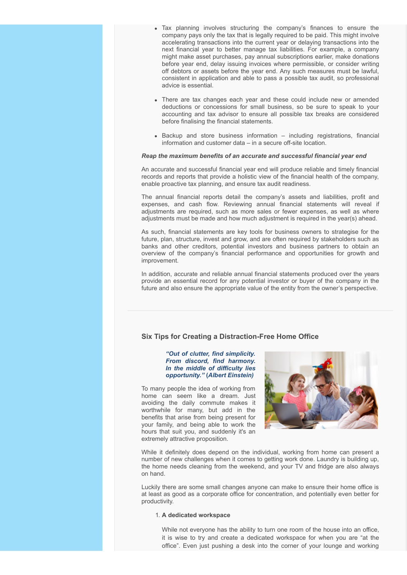- Tax planning involves structuring the company's finances to ensure the company pays only the tax that is legally required to be paid. This might involve accelerating transactions into the current year or delaying transactions into the next financial year to better manage tax liabilities. For example, a company might make asset purchases, pay annual subscriptions earlier, make donations before year end, delay issuing invoices where permissible, or consider writing off debtors or assets before the year end. Any such measures must be lawful, consistent in application and able to pass a possible tax audit, so professional advice is essential.
- There are tax changes each year and these could include new or amended deductions or concessions for small business, so be sure to speak to your accounting and tax advisor to ensure all possible tax breaks are considered before finalising the financial statements.
- $\bullet$  Backup and store business information  $-$  including registrations, financial information and customer data – in a secure off-site location.

#### *Reap the maximum benefits of an accurate and successful financial year end*

An accurate and successful financial year end will produce reliable and timely financial records and reports that provide a holistic view of the financial health of the company, enable proactive tax planning, and ensure tax audit readiness.

The annual financial reports detail the company's assets and liabilities, profit and expenses, and cash flow. Reviewing annual financial statements will reveal if adjustments are required, such as more sales or fewer expenses, as well as where adjustments must be made and how much adjustment is required in the year(s) ahead.

As such, financial statements are key tools for business owners to strategise for the future, plan, structure, invest and grow, and are often required by stakeholders such as banks and other creditors, potential investors and business partners to obtain an overview of the company's financial performance and opportunities for growth and improvement.

In addition, accurate and reliable annual financial statements produced over the years provide an essential record for any potential investor or buyer of the company in the future and also ensure the appropriate value of the entity from the owner's perspective.

# <span id="page-2-0"></span>**Six Tips for Creating a Distraction-Free Home Office**

#### *"Out of clutter, find simplicity. From discord, find harmony. In the middle of difficulty lies opportunity."* **(***Albert Einstein)*

To many people the idea of working from home can seem like a dream. Just avoiding the daily commute makes it worthwhile for many, but add in the benefits that arise from being present for your family, and being able to work the hours that suit you, and suddenly it's an extremely attractive proposition.



While it definitely does depend on the individual, working from home can present a number of new challenges when it comes to getting work done. Laundry is building up, the home needs cleaning from the weekend, and your TV and fridge are also always on hand.

Luckily there are some small changes anyone can make to ensure their home office is at least as good as a corporate office for concentration, and potentially even better for productivity.

#### 1. **A dedicated workspace**

While not everyone has the ability to turn one room of the house into an office, it is wise to try and create a dedicated workspace for when you are "at the office". Even just pushing a desk into the corner of your lounge and working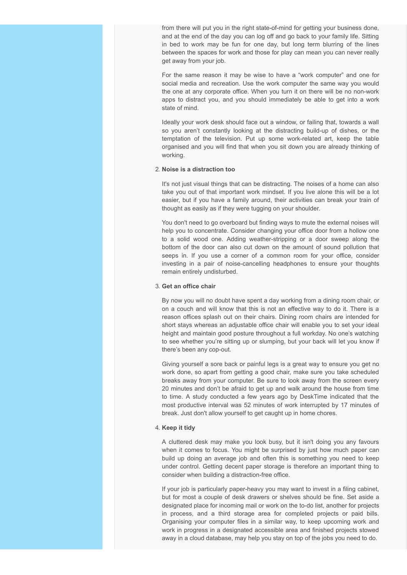from there will put you in the right state-of-mind for getting your business done, and at the end of the day you can log off and go back to your family life. Sitting in bed to work may be fun for one day, but long term blurring of the lines between the spaces for work and those for play can mean you can never really get away from your job.

For the same reason it may be wise to have a "work computer" and one for social media and recreation. Use the work computer the same way you would the one at any corporate office. When you turn it on there will be no non-work apps to distract you, and you should immediately be able to get into a work state of mind.

Ideally your work desk should face out a window, or failing that, towards a wall so you aren't constantly looking at the distracting build-up of dishes, or the temptation of the television. Put up some work-related art, keep the table organised and you will find that when you sit down you are already thinking of working.

# 2. **Noise is a distraction too**

It's not just visual things that can be distracting. The noises of a home can also take you out of that important work mindset. If you live alone this will be a lot easier, but if you have a family around, their activities can break your train of thought as easily as if they were tugging on your shoulder.

You don't need to go overboard but finding ways to mute the external noises will help you to concentrate. Consider changing your office door from a hollow one to a solid wood one. Adding weather-stripping or a door sweep along the bottom of the door can also cut down on the amount of sound pollution that seeps in. If you use a corner of a common room for your office, consider investing in a pair of noise-cancelling headphones to ensure your thoughts remain entirely undisturbed.

#### 3. **Get an office chair**

By now you will no doubt have spent a day working from a dining room chair, or on a couch and will know that this is not an effective way to do it. There is a reason offices splash out on their chairs. Dining room chairs are intended for short stays whereas an adjustable office chair will enable you to set your ideal height and maintain good posture throughout a full workday. No one's watching to see whether you're sitting up or slumping, but your back will let you know if there's been any cop-out.

Giving yourself a sore back or painful legs is a great way to ensure you get no work done, so apart from getting a good chair, make sure you take scheduled breaks away from your computer. Be sure to look away from the screen every 20 minutes and don't be afraid to get up and walk around the house from time to time. A study conducted a few years ago by DeskTime indicated that the most productive interval was 52 minutes of work interrupted by 17 minutes of break. Just don't allow yourself to get caught up in home chores.

#### 4. **Keep it tidy**

A cluttered desk may make you look busy, but it isn't doing you any favours when it comes to focus. You might be surprised by just how much paper can build up doing an average job and often this is something you need to keep under control. Getting decent paper storage is therefore an important thing to consider when building a distraction-free office.

If your job is particularly paper-heavy you may want to invest in a filing cabinet, but for most a couple of desk drawers or shelves should be fine. Set aside a designated place for incoming mail or work on the to-do list, another for projects in process, and a third storage area for completed projects or paid bills. Organising your computer files in a similar way, to keep upcoming work and work in progress in a designated accessible area and finished projects stowed away in a cloud database, may help you stay on top of the jobs you need to do.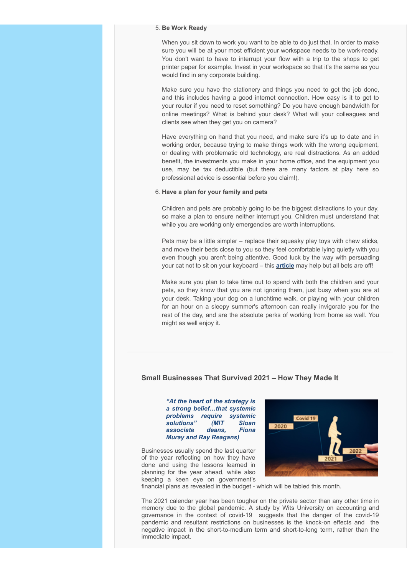#### 5. **Be Work Ready**

When you sit down to work you want to be able to do just that. In order to make sure you will be at your most efficient your workspace needs to be work-ready. You don't want to have to interrupt your flow with a trip to the shops to get printer paper for example. Invest in your workspace so that it's the same as you would find in any corporate building.

Make sure you have the stationery and things you need to get the job done, and this includes having a good internet connection. How easy is it to get to your router if you need to reset something? Do you have enough bandwidth for online meetings? What is behind your desk? What will your colleagues and clients see when they get you on camera?

Have everything on hand that you need, and make sure it's up to date and in working order, because trying to make things work with the wrong equipment, or dealing with problematic old technology, are real distractions. As an added benefit, the investments you make in your home office, and the equipment you use, may be tax deductible (but there are many factors at play here so professional advice is essential before you claim!).

#### 6. **Have a plan for your family and pets**

Children and pets are probably going to be the biggest distractions to your day, so make a plan to ensure neither interrupt you. Children must understand that while you are working only emergencies are worth interruptions.

Pets may be a little simpler – replace their squeaky play toys with chew sticks, and move their beds close to you so they feel comfortable lying quietly with you even though you aren't being attentive. Good luck by the way with persuading your cat not to sit on your keyboard – this **[article](https://www.wikihow.com/Get-Your-Cat-to-Stop-Jumping-on-Your-Keyboard)** may help but all bets are off!

Make sure you plan to take time out to spend with both the children and your pets, so they know that you are not ignoring them, just busy when you are at your desk. Taking your dog on a lunchtime walk, or playing with your children for an hour on a sleepy summer's afternoon can really invigorate you for the rest of the day, and are the absolute perks of working from home as well. You might as well enjoy it.

#### <span id="page-4-0"></span>**Small Businesses That Survived 2021 – How They Made It**

*"At the heart of the strategy is a strong belief…that systemic problems require systemic solutions" (MIT Sloan associate deans, Fiona Muray and Ray Reagans)*

Businesses usually spend the last quarter of the year reflecting on how they have done and using the lessons learned in planning for the year ahead, while also keeping a keen eye on government's



financial plans as revealed in the budget - which will be tabled this month.

The 2021 calendar year has been tougher on the private sector than any other time in memory due to the global pandemic. A study by Wits University on accounting and governance in the context of covid-19 suggests that the danger of the covid-19 pandemic and resultant restrictions on businesses is the knock-on effects and the negative impact in the short-to-medium term and short-to-long term, rather than the immediate impact.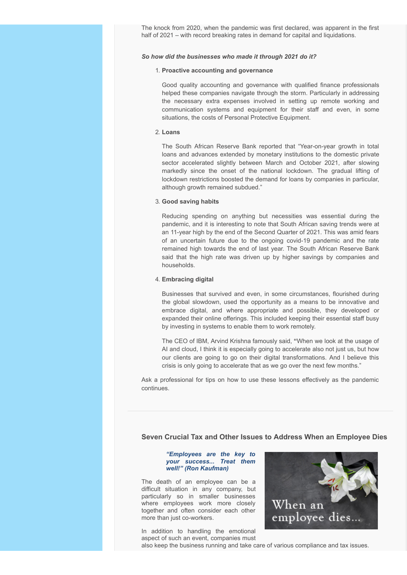The knock from 2020, when the pandemic was first declared, was apparent in the first half of 2021 – with record breaking rates in demand for capital and liquidations.

#### *So how did the businesses who made it through 2021 do it?*

#### 1. **Proactive accounting and governance**

Good quality accounting and governance with qualified finance professionals helped these companies navigate through the storm. Particularly in addressing the necessary extra expenses involved in setting up remote working and communication systems and equipment for their staff and even, in some situations, the costs of Personal Protective Equipment.

#### 2. **Loans**

The South African Reserve Bank reported that "Year-on-year growth in total loans and advances extended by monetary institutions to the domestic private sector accelerated slightly between March and October 2021, after slowing markedly since the onset of the national lockdown. The gradual lifting of lockdown restrictions boosted the demand for loans by companies in particular, although growth remained subdued."

#### 3. **Good saving habits**

Reducing spending on anything but necessities was essential during the pandemic, and it is interesting to note that South African saving trends were at an 11-year high by the end of the Second Quarter of 2021. This was amid fears of an uncertain future due to the ongoing covid-19 pandemic and the rate remained high towards the end of last year. The South African Reserve Bank said that the high rate was driven up by higher savings by companies and households.

#### 4. **Embracing digital**

Businesses that survived and even, in some circumstances, flourished during the global slowdown, used the opportunity as a means to be innovative and embrace digital, and where appropriate and possible, they developed or expanded their online offerings. This included keeping their essential staff busy by investing in systems to enable them to work remotely.

The CEO of IBM, Arvind Krishna famously said, **"**When we look at the usage of AI and cloud, I think it is especially going to accelerate also not just us, but how our clients are going to go on their digital transformations. And I believe this crisis is only going to accelerate that as we go over the next few months."

Ask a professional for tips on how to use these lessons effectively as the pandemic continues.

# <span id="page-5-0"></span>**Seven Crucial Tax and Other Issues to Address When an Employee Dies**

#### *"Employees are the key to your success... Treat them well!" (Ron Kaufman)*

The death of an employee can be a difficult situation in any company, but particularly so in smaller businesses where employees work more closely together and often consider each other more than just co-workers.

In addition to handling the emotional aspect of such an event, companies must



also keep the business running and take care of various compliance and tax issues.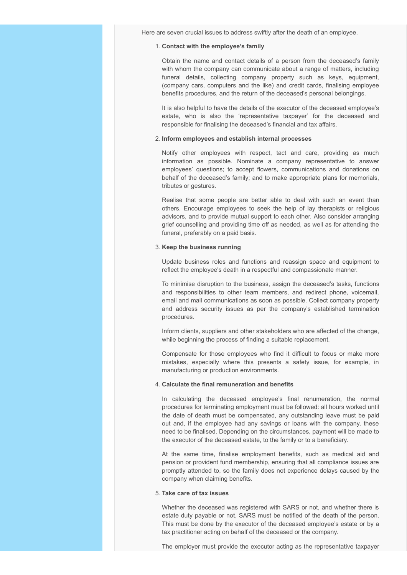Here are seven crucial issues to address swiftly after the death of an employee.

#### 1. **Contact with the employee's family**

Obtain the name and contact details of a person from the deceased's family with whom the company can communicate about a range of matters, including funeral details, collecting company property such as keys, equipment, (company cars, computers and the like) and credit cards, finalising employee benefits procedures, and the return of the deceased's personal belongings.

It is also helpful to have the details of the executor of the deceased employee's estate, who is also the 'representative taxpayer' for the deceased and responsible for finalising the deceased's financial and tax affairs.

### 2. **Inform employees and establish internal processes**

Notify other employees with respect, tact and care, providing as much information as possible. Nominate a company representative to answer employees' questions; to accept flowers, communications and donations on behalf of the deceased's family; and to make appropriate plans for memorials, tributes or gestures.

Realise that some people are better able to deal with such an event than others. Encourage employees to seek the help of lay therapists or religious advisors, and to provide mutual support to each other. Also consider arranging grief counselling and providing time off as needed, as well as for attending the funeral, preferably on a paid basis.

#### 3. **Keep the business running**

Update business roles and functions and reassign space and equipment to reflect the employee's death in a respectful and compassionate manner.

To minimise disruption to the business, assign the deceased's tasks, functions and responsibilities to other team members, and redirect phone, voicemail, email and mail communications as soon as possible. Collect company property and address security issues as per the company's established termination procedures.

Inform clients, suppliers and other stakeholders who are affected of the change, while beginning the process of finding a suitable replacement.

Compensate for those employees who find it difficult to focus or make more mistakes, especially where this presents a safety issue, for example, in manufacturing or production environments.

#### 4. **Calculate the final remuneration and benefits**

In calculating the deceased employee's final renumeration, the normal procedures for terminating employment must be followed: all hours worked until the date of death must be compensated, any outstanding leave must be paid out and, if the employee had any savings or loans with the company, these need to be finalised. Depending on the circumstances, payment will be made to the executor of the deceased estate, to the family or to a beneficiary.

At the same time, finalise employment benefits, such as medical aid and pension or provident fund membership, ensuring that all compliance issues are promptly attended to, so the family does not experience delays caused by the company when claiming benefits.

#### 5. **Take care of tax issues**

Whether the deceased was registered with SARS or not, and whether there is estate duty payable or not, SARS must be notified of the death of the person. This must be done by the executor of the deceased employee's estate or by a tax practitioner acting on behalf of the deceased or the company.

The employer must provide the executor acting as the representative taxpayer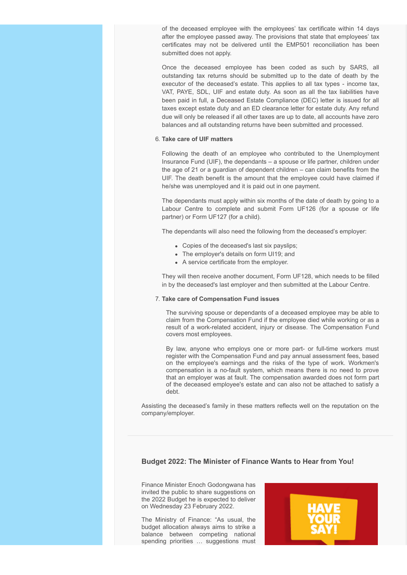of the deceased employee with the employees' tax certificate within 14 days after the employee passed away. The provisions that state that employees' tax certificates may not be delivered until the EMP501 reconciliation has been submitted does not apply.

Once the deceased employee has been coded as such by SARS, all outstanding tax returns should be submitted up to the date of death by the executor of the deceased's estate. This applies to all tax types - income tax, VAT, PAYE, SDL, UIF and estate duty. As soon as all the tax liabilities have been paid in full, a Deceased Estate Compliance (DEC) letter is issued for all taxes except estate duty and an ED clearance letter for estate duty. Any refund due will only be released if all other taxes are up to date, all accounts have zero balances and all outstanding returns have been submitted and processed.

# 6. **Take care of UIF matters**

Following the death of an employee who contributed to the Unemployment Insurance Fund (UIF), the dependants – a spouse or life partner, children under the age of 21 or a guardian of dependent children – can claim benefits from the UIF. The death benefit is the amount that the employee could have claimed if he/she was unemployed and it is paid out in one payment.

The dependants must apply within six months of the date of death by going to a Labour Centre to complete and submit Form UF126 (for a spouse or life partner) or Form UF127 (for a child).

The dependants will also need the following from the deceased's employer:

- Copies of the deceased's last six payslips;
- The employer's details on form UI19; and
- A service certificate from the employer.

They will then receive another document, Form UF128, which needs to be filled in by the deceased's last employer and then submitted at the Labour Centre.

#### 7. **Take care of Compensation Fund issues**

The surviving spouse or dependants of a deceased employee may be able to claim from the Compensation Fund if the employee died while working or as a result of a work-related accident, injury or disease. The Compensation Fund covers most employees.

By law, anyone who employs one or more part- or full-time workers must register with the Compensation Fund and pay annual assessment fees, based on the employee's earnings and the risks of the type of work. Workmen's compensation is a no-fault system, which means there is no need to prove that an employer was at fault. The compensation awarded does not form part of the deceased employee's estate and can also not be attached to satisfy a debt.

Assisting the deceased's family in these matters reflects well on the reputation on the company/employer.

# <span id="page-7-0"></span>**Budget 2022: The Minister of Finance Wants to Hear from You!**

Finance Minister Enoch Godongwana has invited the public to share suggestions on the 2022 Budget he is expected to deliver on Wednesday 23 February 2022.

The Ministry of Finance: "As usual, the budget allocation always aims to strike a balance between competing national spending priorities … suggestions must